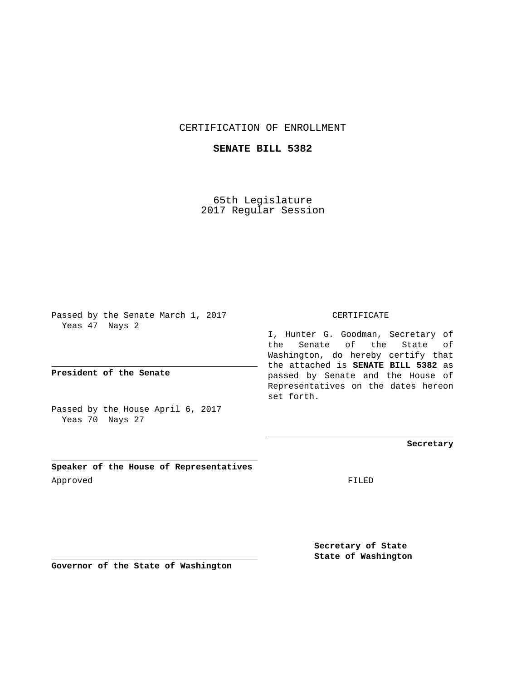## CERTIFICATION OF ENROLLMENT

## **SENATE BILL 5382**

65th Legislature 2017 Regular Session

Passed by the Senate March 1, 2017 Yeas 47 Nays 2

**President of the Senate**

Passed by the House April 6, 2017 Yeas 70 Nays 27

**Speaker of the House of Representatives** Approved FILED

CERTIFICATE

I, Hunter G. Goodman, Secretary of the Senate of the State of Washington, do hereby certify that the attached is **SENATE BILL 5382** as passed by Senate and the House of Representatives on the dates hereon set forth.

**Secretary**

**Secretary of State State of Washington**

**Governor of the State of Washington**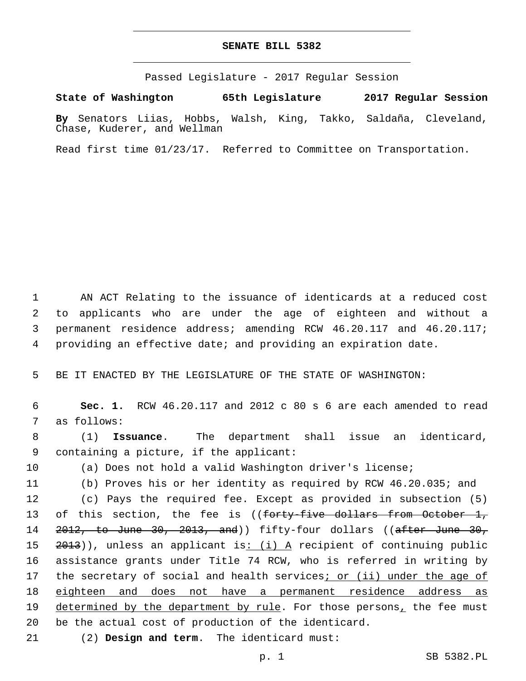## **SENATE BILL 5382**

Passed Legislature - 2017 Regular Session

**State of Washington 65th Legislature 2017 Regular Session**

**By** Senators Liias, Hobbs, Walsh, King, Takko, Saldaña, Cleveland, Chase, Kuderer, and Wellman

Read first time 01/23/17. Referred to Committee on Transportation.

 AN ACT Relating to the issuance of identicards at a reduced cost to applicants who are under the age of eighteen and without a permanent residence address; amending RCW 46.20.117 and 46.20.117; providing an effective date; and providing an expiration date.

5 BE IT ENACTED BY THE LEGISLATURE OF THE STATE OF WASHINGTON:

6 **Sec. 1.** RCW 46.20.117 and 2012 c 80 s 6 are each amended to read 7 as follows:

8 (1) **Issuance**. The department shall issue an identicard, 9 containing a picture, if the applicant:

10 (a) Does not hold a valid Washington driver's license;

11 (b) Proves his or her identity as required by RCW 46.20.035; and

12 (c) Pays the required fee. Except as provided in subsection (5) 13 of this section, the fee is ((<del>forty-five dollars from October 1,</del> 14 2012, to June 30, 2013, and)) fifty-four dollars ((after June 30, 15  $2013$ ), unless an applicant is: (i) A recipient of continuing public 16 assistance grants under Title 74 RCW, who is referred in writing by 17 the secretary of social and health services<sub>i or (ii) under the age of</sub> 18 eighteen and does not have a permanent residence address as 19 determined by the department by rule. For those persons, the fee must 20 be the actual cost of production of the identicard.

(2) **Design and term**. The identicard must:21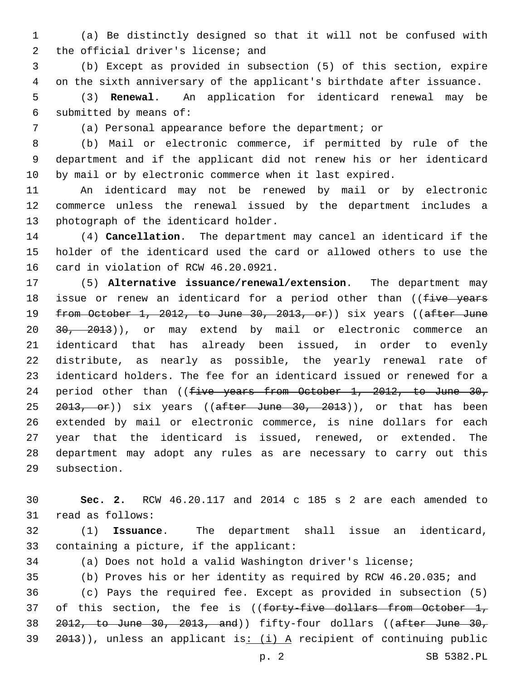(a) Be distinctly designed so that it will not be confused with 2 the official driver's license; and

 (b) Except as provided in subsection (5) of this section, expire on the sixth anniversary of the applicant's birthdate after issuance.

 (3) **Renewal**. An application for identicard renewal may be 6 submitted by means of:

(a) Personal appearance before the department; or

 (b) Mail or electronic commerce, if permitted by rule of the department and if the applicant did not renew his or her identicard by mail or by electronic commerce when it last expired.

 An identicard may not be renewed by mail or by electronic commerce unless the renewal issued by the department includes a 13 photograph of the identicard holder.

 (4) **Cancellation**. The department may cancel an identicard if the holder of the identicard used the card or allowed others to use the 16 card in violation of RCW 46.20.0921.

 (5) **Alternative issuance/renewal/extension**. The department may 18 issue or renew an identicard for a period other than ((five years 19 from October 1, 2012, to June 30, 2013, or)) six years ((after June 20 30, 2013)), or may extend by mail or electronic commerce an identicard that has already been issued, in order to evenly distribute, as nearly as possible, the yearly renewal rate of identicard holders. The fee for an identicard issued or renewed for a 24 period other than ((five years from October 1, 2012, to June 30, 25 <del>2013, or</del>)) six years ((after June 30, 2013)), or that has been extended by mail or electronic commerce, is nine dollars for each year that the identicard is issued, renewed, or extended. The department may adopt any rules as are necessary to carry out this 29 subsection.

 **Sec. 2.** RCW 46.20.117 and 2014 c 185 s 2 are each amended to 31 read as follows:

 (1) **Issuance**. The department shall issue an identicard, 33 containing a picture, if the applicant:

(a) Does not hold a valid Washington driver's license;

 (b) Proves his or her identity as required by RCW 46.20.035; and (c) Pays the required fee. Except as provided in subsection (5) 37 of this section, the fee is ((forty-five dollars from October 1, 2012, to June 30, 2013, and)) fifty-four dollars ((after June 30, )), unless an applicant is:  $(i)$  A recipient of continuing public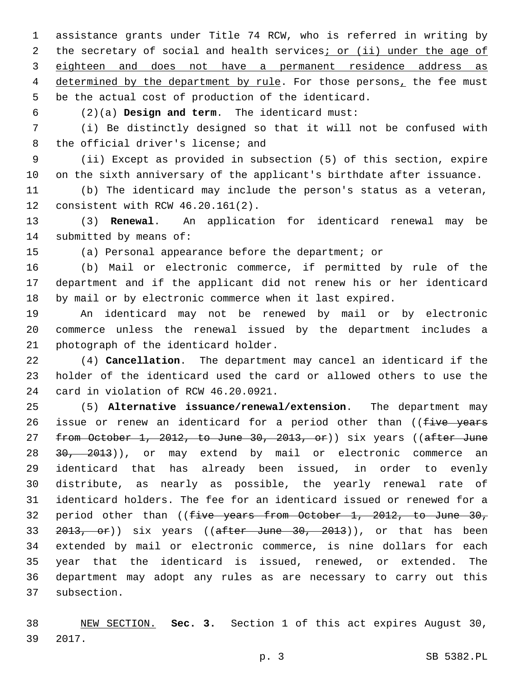assistance grants under Title 74 RCW, who is referred in writing by 2 the secretary of social and health services; or (ii) under the age of eighteen and does not have a permanent residence address as 4 determined by the department by rule. For those persons, the fee must be the actual cost of production of the identicard.

(2)(a) **Design and term**. The identicard must:6

 (i) Be distinctly designed so that it will not be confused with 8 the official driver's license; and

 (ii) Except as provided in subsection (5) of this section, expire on the sixth anniversary of the applicant's birthdate after issuance.

 (b) The identicard may include the person's status as a veteran, 12 consistent with RCW 46.20.161(2).

 (3) **Renewal**. An application for identicard renewal may be 14 submitted by means of:

(a) Personal appearance before the department; or

 (b) Mail or electronic commerce, if permitted by rule of the department and if the applicant did not renew his or her identicard by mail or by electronic commerce when it last expired.

 An identicard may not be renewed by mail or by electronic commerce unless the renewal issued by the department includes a 21 photograph of the identicard holder.

 (4) **Cancellation**. The department may cancel an identicard if the holder of the identicard used the card or allowed others to use the 24 card in violation of RCW 46.20.0921.

 (5) **Alternative issuance/renewal/extension**. The department may 26 issue or renew an identicard for a period other than ((five years 27 from October 1, 2012, to June 30, 2013, or)) six years ((after June 28 30, 2013)), or may extend by mail or electronic commerce an identicard that has already been issued, in order to evenly distribute, as nearly as possible, the yearly renewal rate of identicard holders. The fee for an identicard issued or renewed for a 32 period other than ((five years from October 1, 2012, to June 30, 33 2013, or)) six years ((after June 30, 2013)), or that has been extended by mail or electronic commerce, is nine dollars for each year that the identicard is issued, renewed, or extended. The department may adopt any rules as are necessary to carry out this 37 subsection.

 NEW SECTION. **Sec. 3.** Section 1 of this act expires August 30, 2017.